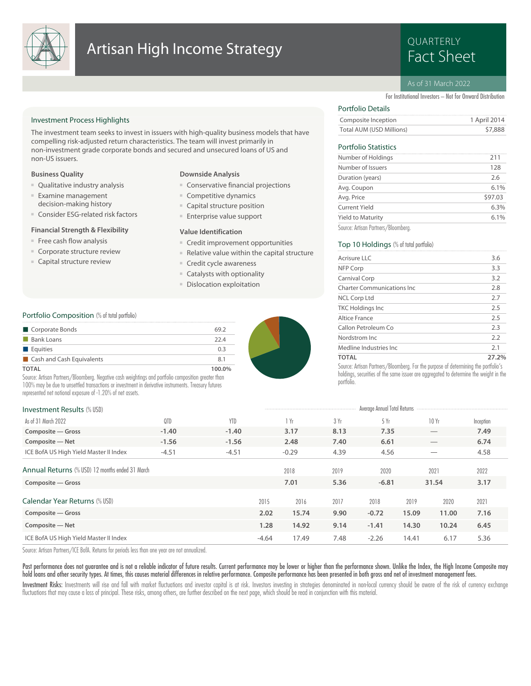

# **Artisan High Income Strategy Example 2014 Research Artisan High Income Strategy**

# QUARTERLY

#### As of 31 March 2022

Total AUM (USD Millions) \$7,888 Composite Inception 1 April 2014

Avg. Coupon 6.1% Duration (years) 2.6 Number of Issuers 128 Number of Holdings 211

For Institutional Investors – Not for Onward Distribution

#### Investment Process Highlights

The investment team seeks to invest in issuers with high-quality business models that have compelling risk-adjusted return characteristics. The team will invest primarily in non-investment grade corporate bonds and secured and unsecured loans of US and non-US issuers.

#### **Business Quality**

- Qualitative industry analysis
- Examine management decision-making history
- Consider ESG-related risk factors

#### **Financial Strength & Flexibility**

- Free cash flow analysis
- Corporate structure review
- Capital structure review

#### **Downside Analysis**

- Conservative financial projections
- Competitive dynamics
- Capital structure position
- Enterprise value support

#### **Value Identification**

- Credit improvement opportunities
- Relative value within the capital structure
- Credit cycle awareness
- Catalysts with optionality
- Dislocation exploitation

#### Portfolio Composition (% of total portfolio)

| Corporate Bonds           | 69.2   |
|---------------------------|--------|
| <b>Bank Loans</b>         | 22.4   |
| <b>Equities</b>           | 0.3    |
| Cash and Cash Equivalents | 8.1    |
| <b>TOTAL</b>              | 100.0% |

Source: Artisan Partners/Bloomberg. Negative cash weightings and portfolio composition greater than 100% may be due to unsettled transactions or investment in derivative instruments. Treasury futures represented net notional exposure of -1.20% of net assets.

| <b>Investment Results (% USD)</b>               |         |            |         |         |      | Average Annual Total Returns |       |                                 |           |
|-------------------------------------------------|---------|------------|---------|---------|------|------------------------------|-------|---------------------------------|-----------|
|                                                 |         |            |         |         |      |                              |       |                                 |           |
| As of 31 March 2022                             | 0TD     | <b>YTD</b> |         | 1 Yr    | 3 Yr | 5Yr                          |       | 10Yr                            | Inception |
| Composite - Gross                               | $-1.40$ | $-1.40$    |         | 3.17    | 8.13 | 7.35                         |       | $\hspace{0.1mm}-\hspace{0.1mm}$ | 7.49      |
| Composite - Net                                 | $-1.56$ | $-1.56$    |         | 2.48    | 7.40 | 6.61                         |       | $\hspace{0.1mm}-\hspace{0.1mm}$ | 6.74      |
| ICE BofA US High Yield Master II Index          | $-4.51$ | $-4.51$    |         | $-0.29$ | 4.39 | 4.56                         |       |                                 | 4.58      |
| Annual Returns (% USD) 12 months ended 31 March |         |            |         | 2018    | 2019 | 2020                         |       | 2021                            | 2022      |
| Composite - Gross                               |         |            |         | 7.01    | 5.36 | $-6.81$                      |       | 31.54                           | 3.17      |
| Calendar Year Returns (% USD)                   |         |            | 2015    | 2016    | 2017 | 2018                         | 2019  | 2020                            | 2021      |
|                                                 |         |            |         |         |      |                              |       |                                 |           |
| Composite - Gross                               |         |            | 2.02    | 15.74   | 9.90 | $-0.72$                      | 15.09 | 11.00                           | 7.16      |
| Composite - Net                                 |         |            | 1.28    | 14.92   | 9.14 | $-1.41$                      | 14.30 | 10.24                           | 6.45      |
| ICE BofA US High Yield Master II Index          |         |            | $-4.64$ | 17.49   | 7.48 | $-2.26$                      | 14.41 | 6.17                            | 5.36      |

Source: Artisan Partners/ICE BofA. Returns for periods less than one year are not annualized.

Past performance does not guarantee and is not a reliable indicator of future results. Current performance may be lower or higher than the performance shown. Unlike the Index, the High Income Composite may hold loans and other security types. At times, this causes material differences in relative performance. Composite performance has been presented in both gross and net of investment management fees.

Investment Risks: Investments will rise and fall with market fluctuations and investor capital is at risk. Investors investing in strategies denominated in non-local currency should be aware of the risk of currency exchang fluctuations that may cause a loss of principal. These risks, among others, are further described on the next page, which should be read in conjunction with this material.

### Yield to Maturity 6.1% Current Yield 6.3% Avg. Price  $$97.03$ Source: Artisan Partners/Bloomberg. Top 10 Holdings (% of total portfolio)

Portfolio Details

Portfolio Statistics

| Acrisure LLC                       | 3.6                                  |
|------------------------------------|--------------------------------------|
| NFP Corp                           | 3.3                                  |
| Carnival Corp                      | 3.2                                  |
| <b>Charter Communications Inc.</b> | 2.8                                  |
| <b>NCL Corp Ltd</b>                | 2.7                                  |
| <b>TKC Holdings Inc</b>            | 2.5                                  |
| <b>Altice France</b>               | 2.5                                  |
| Callon Petroleum Co                | 2.3                                  |
| Nordstrom Inc.                     | 2.2                                  |
| Medline Industries Inc.            | 2.1                                  |
| <b>TOTAL</b>                       | 27.2%<br>$\sim$ $\sim$ $\sim$ $\sim$ |

Source: Artisan Partners/Bloomberg. For the purpose of determining the portfolio's holdings, securities of the same issuer are aggregated to determine the weight in the portfolio.